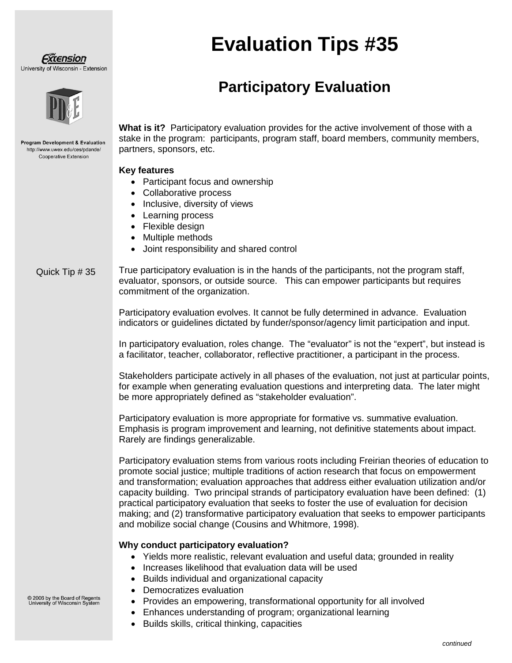#### Fxtension University of Wisconsin - Extension



**Program Development & Evaluation** http://www.uwex.edu/ces/pdande/ Cooperative Extension

# **Evaluation Tips #35**

## **Participatory Evaluation**

**What is it?** Participatory evaluation provides for the active involvement of those with a stake in the program: participants, program staff, board members, community members, partners, sponsors, etc.

#### **Key features**

- Participant focus and ownership
- Collaborative process
- Inclusive, diversity of views
- Learning process
- Flexible design
- Multiple methods
- Joint responsibility and shared control

True participatory evaluation is in the hands of the participants, not the program staff, evaluator, sponsors, or outside source. This can empower participants but requires commitment of the organization. Quick Tip # 35

> Participatory evaluation evolves. It cannot be fully determined in advance. Evaluation indicators or guidelines dictated by funder/sponsor/agency limit participation and input.

In participatory evaluation, roles change. The "evaluator" is not the "expert", but instead is a facilitator, teacher, collaborator, reflective practitioner, a participant in the process.

Stakeholders participate actively in all phases of the evaluation, not just at particular points, for example when generating evaluation questions and interpreting data. The later might be more appropriately defined as "stakeholder evaluation".

Participatory evaluation is more appropriate for formative vs. summative evaluation. Emphasis is program improvement and learning, not definitive statements about impact. Rarely are findings generalizable.

Participatory evaluation stems from various roots including Freirian theories of education to promote social justice; multiple traditions of action research that focus on empowerment and transformation; evaluation approaches that address either evaluation utilization and/or capacity building. Two principal strands of participatory evaluation have been defined: (1) practical participatory evaluation that seeks to foster the use of evaluation for decision making; and (2) transformative participatory evaluation that seeks to empower participants and mobilize social change (Cousins and Whitmore, 1998).

#### **Why conduct participatory evaluation?**

- Yields more realistic, relevant evaluation and useful data; grounded in reality
- Increases likelihood that evaluation data will be used
- Builds individual and organizational capacity
- Democratizes evaluation
- Provides an empowering, transformational opportunity for all involved
- Enhances understanding of program; organizational learning
- Builds skills, critical thinking, capacities

### © 2006 by the Board of Regents<br>University of Wisconsin System